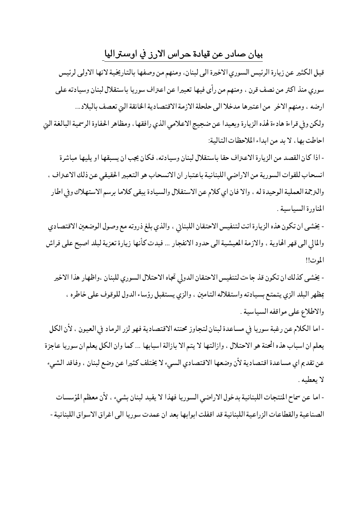## بيان صادر عن قيادة حراس الارز في اوستراليا

قيل الكثير عن زيارة الرئيس السوري الاخيرة الى لبنان، ومنهم من وصفها بالتاريخية لانها الاولى لرئيس سوري منذ اكثر من نصف قرن ، ومنهم من رأى فيها تعبيرا عن اعتراف سوريا باستقلال لبنان وسيادته على ارضه ، ومنهم الاخر ٍ من اعتبرها مدخلا الى حلحلة الازمة الاقتصادية الخانقة التي تعصف بالبلاد …

ولكن وفي قراءة هادءة لهذه الزيارة وبعيدا عن ضجيج الاعلامي الذي رافقها ، ومظاهر الحفاوة الرسمية البالغة البي احاطت بها، لا بد من ابداء الملاحظات التالية:

- إذا كان القصد من الزيارة الاعتراف حقا باستقلال لبنان وسيادته، فكان يجب إن يسبقها أو يلبها مباشرة انسحاب للقوات السورية من الاراضي اللبنانية باعتبار ان الانسحاب هو التعبير الحقيقي عن ذلك الاعتراف ، والترجمة العملية الوحيدة له ، والا فان اي كلام عن الاستقلال والسيادة يبقى كلاما برسم الاستهلاك وفي اطار المناورة السياسية .

- يخشى ان تكون هذه الزيارة اتت لتنفيس الاحتقان اللبنايي ، والذي بلغ ذروته مع وصول الوضعين الاقتصادي والمالي الى قهر الهاوية ، والازمة المعيشية الى حدود الانفجار ... فبدت كأنها زيارة تعزية لبلد اصبح على فراش الموت!!

- يخشى كذلك ان تكون قذ جاءت لتنفيس الاحتقان الدولي تجاه الاحتلال السوري للبنان ،واظهار هذا الاخير بمظهر البلد الزي يتمتع بسيادته واستقلاله التامين ، والزي يستقبل رؤساء الدول للوقوف على خاطره ، والاطلاع على مواقفه السياسية .

- اما الكلام عن رغبة سوريا في مساعدة لبنان لتجاوز محنته الاقتصادية فهو لزر الرماد في العيون ، لأن الكل يعلم ان اسباب هذه الحنة هو الاحتلال ، وازالتها لا يتم الا بازالة اسبابها … كما وان الكل يعلم ان سوريا عاجزة عن تقديم اي مساعدة اقتصادية لأن وضعها الاقتصادي السيء لا يختلف كثيرا عن وضع لبنان ، وفاقد الشيء لا يعطيه .

- اما عن سماح المنتجات اللبنانية بدخول الاراضي السوريا فهذا لا يفيد لبنان بشيء ، لأن معظم المؤسسات الصناعية والقطاعات الزراعية اللبنانية قد اقفلت ابوابها بعد ان عمدت سوريا الى اغراق الاسواق اللبنانية -